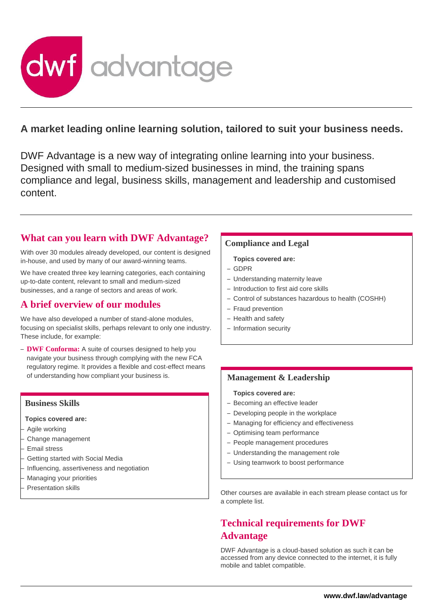

# **A market leading online learning solution, tailored to suit your business needs.**

DWF Advantage is a new way of integrating online learning into your business. Designed with small to medium-sized businesses in mind, the training spans compliance and legal, business skills, management and leadership and customised content.

## **What can you learn with DWF Advantage?**

With over 30 modules already developed, our content is designed in-house, and used by many of our award-winning teams.

We have created three key learning categories, each containing up-to-date content, relevant to small and medium-sized businesses, and a range of sectors and areas of work.

## **A brief overview of our modules**

We have also developed a number of stand-alone modules, focusing on specialist skills, perhaps relevant to only one industry. These include, for example:

– **DWF Conforma:** A suite of courses designed to help you navigate your business through complying with the new FCA regulatory regime. It provides a flexible and cost-effect means of understanding how compliant your business is.

### **Business Skills**

**Topics covered are:**

- Agile working
- Change management
- Email stress
- Getting started with Social Media
- Influencing, assertiveness and negotiation
- Managing your priorities
- Presentation skills

### **Compliance and Legal**

#### **Topics covered are:**

- GDPR
- Understanding maternity leave
- Introduction to first aid core skills
- Control of substances hazardous to health (COSHH)
- Fraud prevention
- Health and safety
- Information security

### **Management & Leadership**

#### **Topics covered are:**

- Becoming an effective leader
- Developing people in the workplace
- Managing for efficiency and effectiveness
- Optimising team performance
- People management procedures
- Understanding the management role
- Using teamwork to boost performance

Other courses are available in each stream please contact us for a complete list.

# **Technical requirements for DWF Advantage**

DWF Advantage is a cloud-based solution as such it can be accessed from any device connected to the internet, it is fully mobile and tablet compatible.